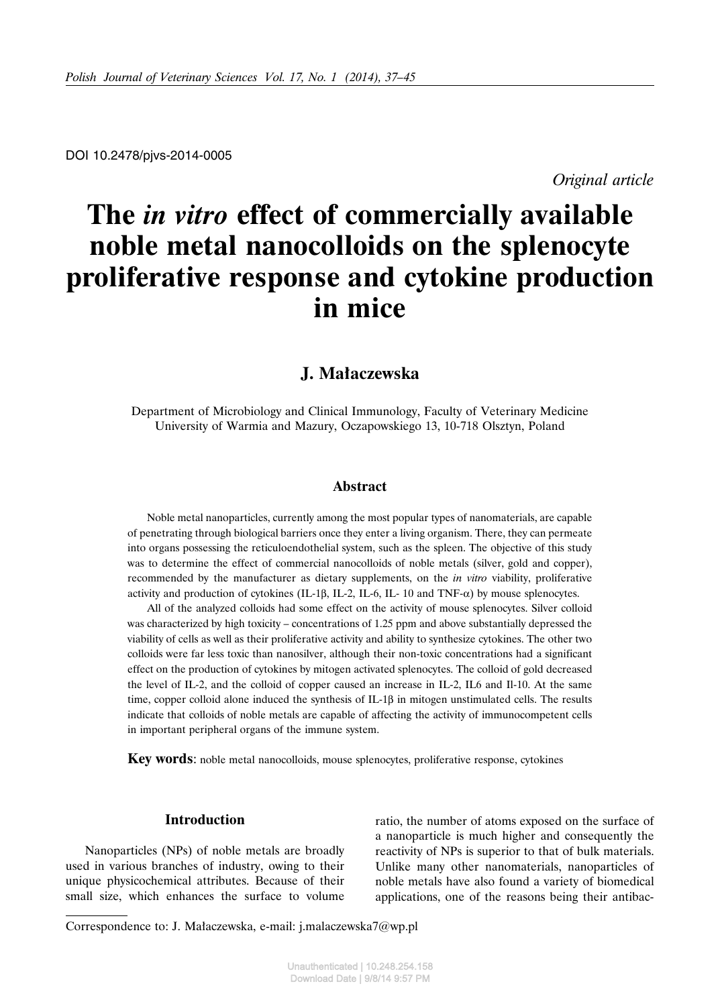DOI 10.2478/pjvs-2014-0005

*Original article*

# **The** *in vitro* **effect of commercially available noble metal nanocolloids on the splenocyte proliferative response and cytokine production in mice**

## **J. Małaczewska**

Department of Microbiology and Clinical Immunology, Faculty of Veterinary Medicine University of Warmia and Mazury, Oczapowskiego 13, 10-718 Olsztyn, Poland

## **Abstract**

Noble metal nanoparticles, currently among the most popular types of nanomaterials, are capable of penetrating through biological barriers once they enter a living organism. There, they can permeate into organs possessing the reticuloendothelial system, such as the spleen. The objective of this study was to determine the effect of commercial nanocolloids of noble metals (silver, gold and copper), recommended by the manufacturer as dietary supplements, on the *in vitro* viability, proliferative activity and production of cytokines (IL-1β, IL-2, IL-6, IL-10 and TNF- $\alpha$ ) by mouse splenocytes.

All of the analyzed colloids had some effect on the activity of mouse splenocytes. Silver colloid was characterized by high toxicity – concentrations of 1.25 ppm and above substantially depressed the viability of cells as well as their proliferative activity and ability to synthesize cytokines. The other two colloids were far less toxic than nanosilver, although their non-toxic concentrations had a significant effect on the production of cytokines by mitogen activated splenocytes. The colloid of gold decreased the level of IL-2, and the colloid of copper caused an increase in IL-2, IL6 and Il-10. At the same time, copper colloid alone induced the synthesis of IL-1β in mitogen unstimulated cells. The results indicate that colloids of noble metals are capable of affecting the activity of immunocompetent cells in important peripheral organs of the immune system.

**Key words**: noble metal nanocolloids, mouse splenocytes, proliferative response, cytokines

## **Introduction**

Nanoparticles (NPs) of noble metals are broadly used in various branches of industry, owing to their unique physicochemical attributes. Because of their small size, which enhances the surface to volume ratio, the number of atoms exposed on the surface of a nanoparticle is much higher and consequently the reactivity of NPs is superior to that of bulk materials. Unlike many other nanomaterials, nanoparticles of noble metals have also found a variety of biomedical applications, one of the reasons being their antibac-

Correspondence to: J. Małaczewska, e-mail: j.malaczewska7@wp.pl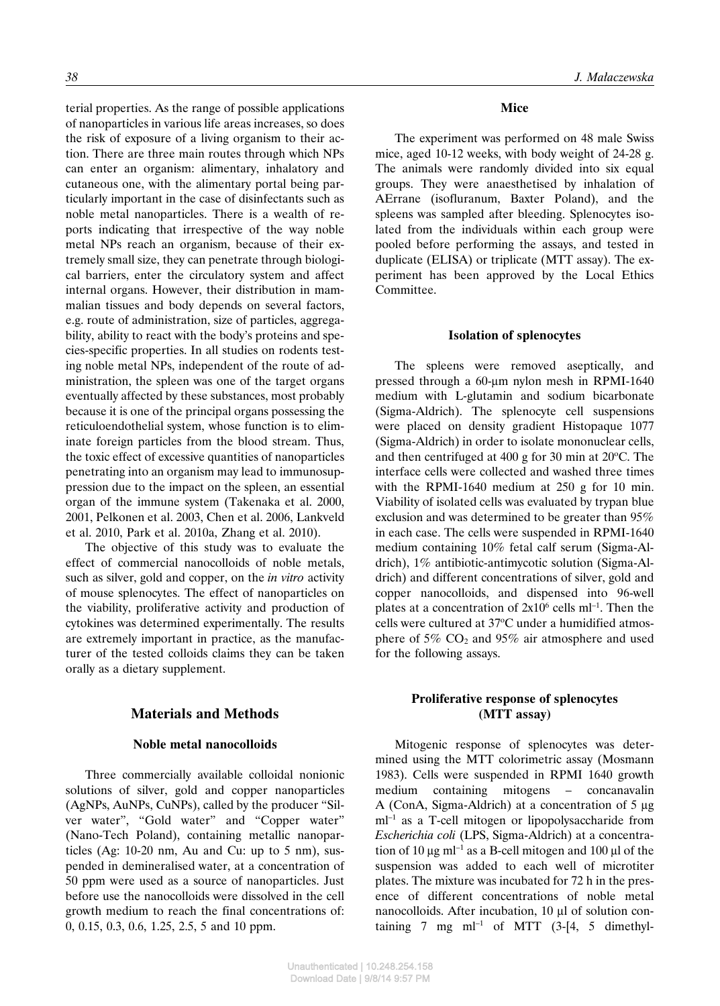terial properties. As the range of possible applications of nanoparticles in various life areas increases, so does the risk of exposure of a living organism to their action. There are three main routes through which NPs can enter an organism: alimentary, inhalatory and cutaneous one, with the alimentary portal being particularly important in the case of disinfectants such as noble metal nanoparticles. There is a wealth of reports indicating that irrespective of the way noble metal NPs reach an organism, because of their extremely small size, they can penetrate through biological barriers, enter the circulatory system and affect internal organs. However, their distribution in mammalian tissues and body depends on several factors, e.g. route of administration, size of particles, aggregability, ability to react with the body's proteins and species-specific properties. In all studies on rodents testing noble metal NPs, independent of the route of administration, the spleen was one of the target organs eventually affected by these substances, most probably because it is one of the principal organs possessing the reticuloendothelial system, whose function is to eliminate foreign particles from the blood stream. Thus, the toxic effect of excessive quantities of nanoparticles penetrating into an organism may lead to immunosuppression due to the impact on the spleen, an essential organ of the immune system (Takenaka et al. 2000, 2001, Pelkonen et al. 2003, Chen et al. 2006, Lankveld et al. 2010, Park et al. 2010a, Zhang et al. 2010).

The objective of this study was to evaluate the effect of commercial nanocolloids of noble metals, such as silver, gold and copper, on the *in vitro* activity of mouse splenocytes. The effect of nanoparticles on the viability, proliferative activity and production of cytokines was determined experimentally. The results are extremely important in practice, as the manufacturer of the tested colloids claims they can be taken orally as a dietary supplement.

## **Materials and Methods**

## **Noble metal nanocolloids**

Three commercially available colloidal nonionic solutions of silver, gold and copper nanoparticles (AgNPs, AuNPs, CuNPs), called by the producer "Silver water", "Gold water" and "Copper water" (Nano-Tech Poland), containing metallic nanoparticles (Ag: 10-20 nm, Au and Cu: up to 5 nm), suspended in demineralised water, at a concentration of 50 ppm were used as a source of nanoparticles. Just before use the nanocolloids were dissolved in the cell growth medium to reach the final concentrations of: 0, 0.15, 0.3, 0.6, 1.25, 2.5, 5 and 10 ppm.

## **Mice**

The experiment was performed on 48 male Swiss mice, aged 10-12 weeks, with body weight of 24-28 g. The animals were randomly divided into six equal groups. They were anaesthetised by inhalation of AErrane (isofluranum, Baxter Poland), and the spleens was sampled after bleeding. Splenocytes isolated from the individuals within each group were pooled before performing the assays, and tested in duplicate (ELISA) or triplicate (MTT assay). The experiment has been approved by the Local Ethics Committee.

## **Isolation of splenocytes**

The spleens were removed aseptically, and pressed through a 60-μm nylon mesh in RPMI-1640 medium with L-glutamin and sodium bicarbonate (Sigma-Aldrich). The splenocyte cell suspensions were placed on density gradient Histopaque 1077 (Sigma-Aldrich) in order to isolate mononuclear cells, and then centrifuged at  $400$  g for  $30$  min at  $20^{\circ}$ C. The interface cells were collected and washed three times with the RPMI-1640 medium at 250 g for 10 min. Viability of isolated cells was evaluated by trypan blue exclusion and was determined to be greater than 95% in each case. The cells were suspended in RPMI-1640 medium containing 10% fetal calf serum (Sigma-Aldrich), 1% antibiotic-antimycotic solution (Sigma-Aldrich) and different concentrations of silver, gold and copper nanocolloids, and dispensed into 96-well plates at a concentration of  $2x10^6$  cells ml<sup>-1</sup>. Then the cells were cultured at 37°C under a humidified atmosphere of 5%  $CO<sub>2</sub>$  and 95% air atmosphere and used for the following assays.

## **Proliferative response of splenocytes (MTT assay)**

Mitogenic response of splenocytes was determined using the MTT colorimetric assay (Mosmann 1983). Cells were suspended in RPMI 1640 growth medium containing mitogens – concanavalin A (ConA, Sigma-Aldrich) at a concentration of 5 μg  $ml<sup>-1</sup>$  as a T-cell mitogen or lipopolysaccharide from *Escherichia coli* (LPS, Sigma-Aldrich) at a concentration of 10 μg ml<sup>-1</sup> as a B-cell mitogen and 100 μl of the suspension was added to each well of microtiter plates. The mixture was incubated for 72 h in the presence of different concentrations of noble metal nanocolloids. After incubation, 10 μl of solution containing 7 mg  $ml^{-1}$  of MTT (3-[4, 5 dimethyl-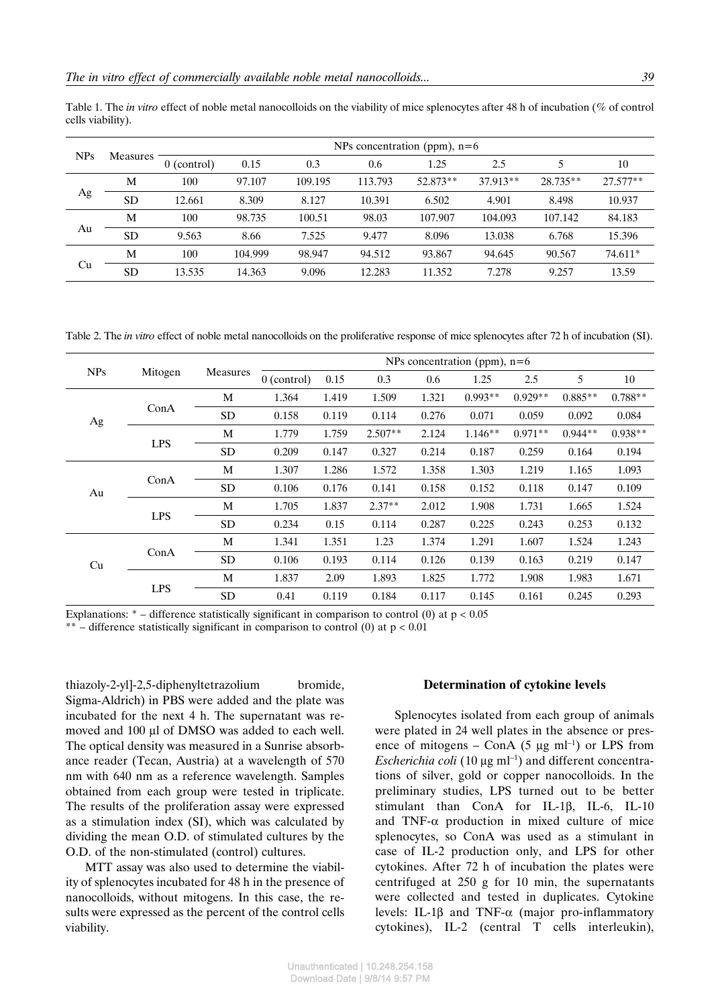| <b>NPs</b> | Measures  | NPs concentration (ppm), $n=6$ |         |         |         |          |          |            |            |  |
|------------|-----------|--------------------------------|---------|---------|---------|----------|----------|------------|------------|--|
|            |           | $0$ (control)                  | 0.15    | 0.3     | 0.6     | 1.25     | 2.5      |            | 10         |  |
| Ag         | M         | 100                            | 97.107  | 109.195 | 113.793 | 52.873** | 37.913** | $28.735**$ | $27.577**$ |  |
|            | <b>SD</b> | 12.661                         | 8.309   | 8.127   | 10.391  | 6.502    | 4.901    | 8.498      | 10.937     |  |
| Au         | M         | 100                            | 98.735  | 100.51  | 98.03   | 107.907  | 104.093  | 107.142    | 84.183     |  |
|            | <b>SD</b> | 9.563                          | 8.66    | 7.525   | 9.477   | 8.096    | 13.038   | 6.768      | 15.396     |  |
| Cu         | M         | 100                            | 104.999 | 98.947  | 94.512  | 93.867   | 94.645   | 90.567     | 74.611*    |  |
|            | <b>SD</b> | 13.535                         | 14.363  | 9.096   | 12.283  | 11.352   | 7.278    | 9.257      | 13.59      |  |

Table 2. The *in vitro* effect of noble metal nanocolloids on the proliferative response of mice splenocytes after 72 h of incubation (SI).

|            |            | Measures  | NPs concentration (ppm), $n=6$ |       |           |       |           |           |           |           |
|------------|------------|-----------|--------------------------------|-------|-----------|-------|-----------|-----------|-----------|-----------|
| <b>NPs</b> | Mitogen    |           | $0$ (control)                  | 0.15  | 0.3       | 0.6   | 1.25      | 2.5       | 5         | 10        |
|            |            | M         | 1.364                          | 1.419 | 1.509     | 1.321 | $0.993**$ | $0.929**$ | $0.885**$ | $0.788**$ |
| Ag         | ConA       | <b>SD</b> | 0.158                          | 0.119 | 0.114     | 0.276 | 0.071     | 0.059     | 0.092     | 0.084     |
|            | <b>LPS</b> | M         | 1.779                          | 1.759 | $2.507**$ | 2.124 | $1.146**$ | $0.971**$ | $0.944**$ | $0.938**$ |
|            |            | <b>SD</b> | 0.209                          | 0.147 | 0.327     | 0.214 | 0.187     | 0.259     | 0.164     | 0.194     |
|            | ConA       | M         | 1.307                          | 1.286 | 1.572     | 1.358 | 1.303     | 1.219     | 1.165     | 1.093     |
| Au         |            | <b>SD</b> | 0.106                          | 0.176 | 0.141     | 0.158 | 0.152     | 0.118     | 0.147     | 0.109     |
|            | <b>LPS</b> | M         | 1.705                          | 1.837 | $2.37**$  | 2.012 | 1.908     | 1.731     | 1.665     | 1.524     |
|            |            | <b>SD</b> | 0.234                          | 0.15  | 0.114     | 0.287 | 0.225     | 0.243     | 0.253     | 0.132     |
|            |            | M         | 1.341                          | 1.351 | 1.23      | 1.374 | 1.291     | 1.607     | 1.524     | 1.243     |
| Cu         | ConA       | <b>SD</b> | 0.106                          | 0.193 | 0.114     | 0.126 | 0.139     | 0.163     | 0.219     | 0.147     |
|            | <b>LPS</b> | M         | 1.837                          | 2.09  | 1.893     | 1.825 | 1.772     | 1.908     | 1.983     | 1.671     |
|            |            | <b>SD</b> | 0.41                           | 0.119 | 0.184     | 0.117 | 0.145     | 0.161     | 0.245     | 0.293     |

Explanations:  $*$  – difference statistically significant in comparison to control (0) at  $p < 0.05$ 

\*\* – difference statistically significant in comparison to control (0) at  $p < 0.01$ 

thiazoly-2-yl]-2,5-diphenyltetrazolium bromide, Sigma-Aldrich) in PBS were added and the plate was incubated for the next 4 h. The supernatant was removed and 100 μl of DMSO was added to each well. The optical density was measured in a Sunrise absorbance reader (Tecan, Austria) at a wavelength of 570 nm with 640 nm as a reference wavelength. Samples obtained from each group were tested in triplicate. The results of the proliferation assay were expressed as a stimulation index (SI), which was calculated by dividing the mean O.D. of stimulated cultures by the O.D. of the non-stimulated (control) cultures.

MTT assay was also used to determine the viability of splenocytes incubated for 48 h in the presence of nanocolloids, without mitogens. In this case, the results were expressed as the percent of the control cells viability.

#### **Determination of cytokine levels**

Splenocytes isolated from each group of animals were plated in 24 well plates in the absence or presence of mitogens – ConA  $(5 \mu g \text{ ml}^{-1})$  or LPS from *Escherichia coli* (10  $\mu$ g ml<sup>-1</sup>) and different concentrations of silver, gold or copper nanocolloids. In the preliminary studies, LPS turned out to be better stimulant than ConA for IL-1β, IL-6, IL-10 and TNF- $\alpha$  production in mixed culture of mice splenocytes, so ConA was used as a stimulant in case of IL-2 production only, and LPS for other cytokines. After 72 h of incubation the plates were centrifuged at 250 g for 10 min, the supernatants were collected and tested in duplicates. Cytokine levels: IL-1β and TNF-α (major pro-inflammatory cytokines), IL-2 (central T cells interleukin),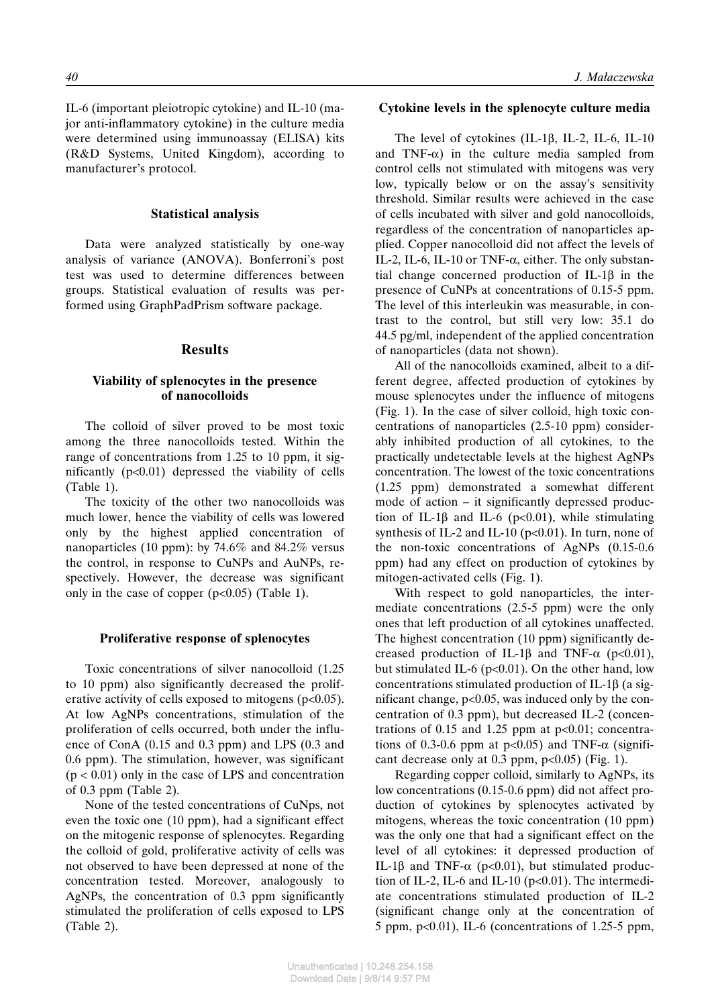IL-6 (important pleiotropic cytokine) and IL-10 (major anti-inflammatory cytokine) in the culture media were determined using immunoassay (ELISA) kits (R&D Systems, United Kingdom), according to manufacturer's protocol.

#### **Statistical analysis**

Data were analyzed statistically by one-way analysis of variance (ANOVA). Bonferroni's post test was used to determine differences between groups. Statistical evaluation of results was performed using GraphPadPrism software package.

## **Results**

## **Viability of splenocytes in the presence of nanocolloids**

The colloid of silver proved to be most toxic among the three nanocolloids tested. Within the range of concentrations from 1.25 to 10 ppm, it significantly  $(p<0.01)$  depressed the viability of cells (Table 1).

The toxicity of the other two nanocolloids was much lower, hence the viability of cells was lowered only by the highest applied concentration of nanoparticles (10 ppm): by 74.6% and 84.2% versus the control, in response to CuNPs and AuNPs, respectively. However, the decrease was significant only in the case of copper  $(p<0.05)$  (Table 1).

#### **Proliferative response of splenocytes**

Toxic concentrations of silver nanocolloid (1.25 to 10 ppm) also significantly decreased the proliferative activity of cells exposed to mitogens (p<0.05). At low AgNPs concentrations, stimulation of the proliferation of cells occurred, both under the influence of ConA (0.15 and 0.3 ppm) and LPS (0.3 and 0.6 ppm). The stimulation, however, was significant  $(p < 0.01)$  only in the case of LPS and concentration of 0.3 ppm (Table 2).

None of the tested concentrations of CuNps, not even the toxic one (10 ppm), had a significant effect on the mitogenic response of splenocytes. Regarding the colloid of gold, proliferative activity of cells was not observed to have been depressed at none of the concentration tested. Moreover, analogously to AgNPs, the concentration of 0.3 ppm significantly stimulated the proliferation of cells exposed to LPS (Table 2).

#### *40 J. Małaczewska*

#### **Cytokine levels in the splenocyte culture media**

The level of cytokines (IL-1β, IL-2, IL-6, IL-10 and TNF- $\alpha$ ) in the culture media sampled from control cells not stimulated with mitogens was very low, typically below or on the assay's sensitivity threshold. Similar results were achieved in the case of cells incubated with silver and gold nanocolloids, regardless of the concentration of nanoparticles applied. Copper nanocolloid did not affect the levels of IL-2, IL-6, IL-10 or TNF- $\alpha$ , either. The only substantial change concerned production of IL-1β in the presence of CuNPs at concentrations of 0.15-5 ppm. The level of this interleukin was measurable, in contrast to the control, but still very low: 35.1 do 44.5 pg/ml, independent of the applied concentration of nanoparticles (data not shown).

All of the nanocolloids examined, albeit to a different degree, affected production of cytokines by mouse splenocytes under the influence of mitogens (Fig. 1). In the case of silver colloid, high toxic concentrations of nanoparticles (2.5-10 ppm) considerably inhibited production of all cytokines, to the practically undetectable levels at the highest AgNPs concentration. The lowest of the toxic concentrations (1.25 ppm) demonstrated a somewhat different mode of action – it significantly depressed production of IL-1 $\beta$  and IL-6 (p<0.01), while stimulating synthesis of IL-2 and IL-10 ( $p<0.01$ ). In turn, none of the non-toxic concentrations of AgNPs (0.15-0.6 ppm) had any effect on production of cytokines by mitogen-activated cells (Fig. 1).

With respect to gold nanoparticles, the intermediate concentrations (2.5-5 ppm) were the only ones that left production of all cytokines unaffected. The highest concentration (10 ppm) significantly decreased production of IL-1β and TNF- $\alpha$  (p<0.01), but stimulated IL-6 ( $p<0.01$ ). On the other hand, low concentrations stimulated production of IL-1β (a significant change, p<0.05, was induced only by the concentration of 0.3 ppm), but decreased IL-2 (concentrations of 0.15 and 1.25 ppm at  $p<0.01$ ; concentrations of 0.3-0.6 ppm at  $p<0.05$ ) and TNF- $\alpha$  (significant decrease only at  $0.3$  ppm,  $p<0.05$ ) (Fig. 1).

Regarding copper colloid, similarly to AgNPs, its low concentrations (0.15-0.6 ppm) did not affect production of cytokines by splenocytes activated by mitogens, whereas the toxic concentration (10 ppm) was the only one that had a significant effect on the level of all cytokines: it depressed production of IL-1β and TNF- $\alpha$  (p<0.01), but stimulated production of IL-2, IL-6 and IL-10 ( $p<0.01$ ). The intermediate concentrations stimulated production of IL-2 (significant change only at the concentration of 5 ppm, p<0.01), IL-6 (concentrations of 1.25-5 ppm,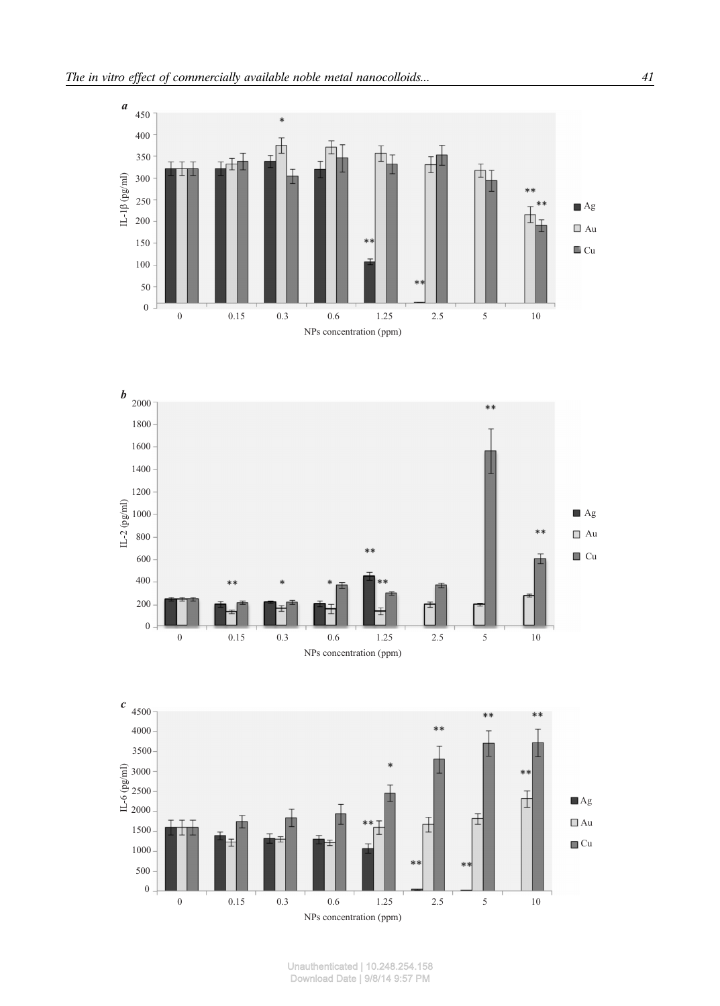





Unauthenticated | 10.248.254.158 Download Date | 9/8/14 9:57 PM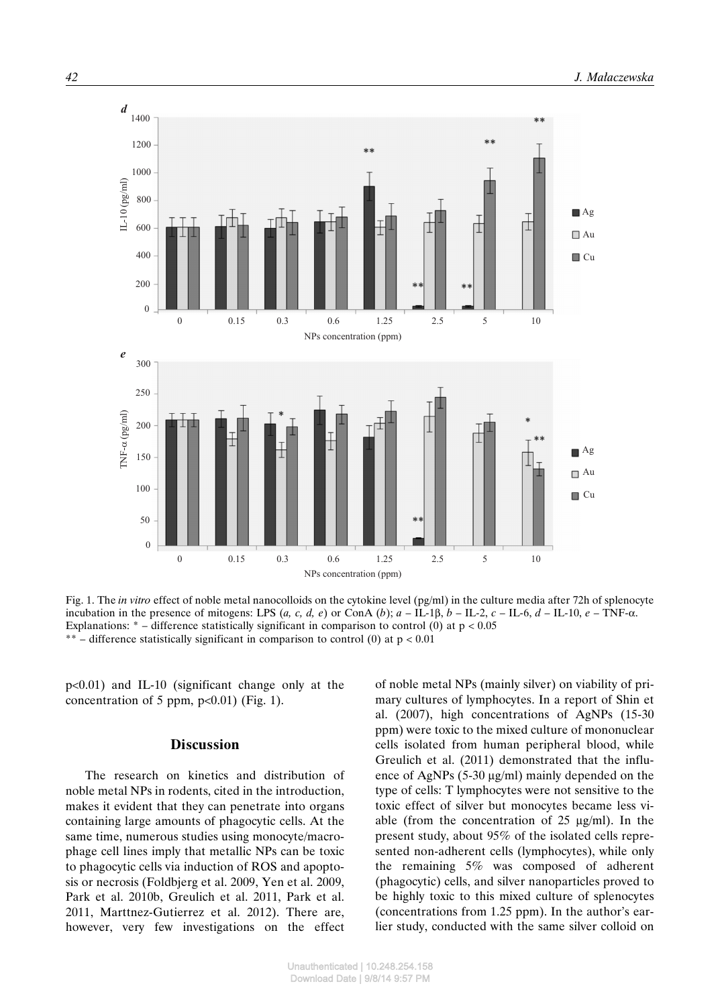

Fig. 1. The *in vitro* effect of noble metal nanocolloids on the cytokine level (pg/ml) in the culture media after 72h of splenocyte incubation in the presence of mitogens: LPS (*a, c, d, e*) or ConA (*b*); *a* – IL-1β, *b* – IL-2, *c* – IL-6, *d* – IL-10, *e* – TNF-α. Explanations:  $*$  – difference statistically significant in comparison to control (0) at  $p < 0.05$ \*\* – difference statistically significant in comparison to control (0) at  $p < 0.01$ 

p<0.01) and IL-10 (significant change only at the concentration of 5 ppm,  $p<0.01$ ) (Fig. 1).

## **Discussion**

The research on kinetics and distribution of noble metal NPs in rodents, cited in the introduction, makes it evident that they can penetrate into organs containing large amounts of phagocytic cells. At the same time, numerous studies using monocyte/macrophage cell lines imply that metallic NPs can be toxic to phagocytic cells via induction of ROS and apoptosis or necrosis (Foldbjerg et al. 2009, Yen et al. 2009, Park et al. 2010b, Greulich et al. 2011, Park et al. 2011, Marttnez-Gutierrez et al. 2012). There are, however, very few investigations on the effect of noble metal NPs (mainly silver) on viability of primary cultures of lymphocytes. In a report of Shin et al. (2007), high concentrations of AgNPs (15-30 ppm) were toxic to the mixed culture of mononuclear cells isolated from human peripheral blood, while Greulich et al. (2011) demonstrated that the influence of AgNPs (5-30 μg/ml) mainly depended on the type of cells: T lymphocytes were not sensitive to the toxic effect of silver but monocytes became less viable (from the concentration of 25 μg/ml). In the present study, about 95% of the isolated cells represented non-adherent cells (lymphocytes), while only the remaining 5% was composed of adherent (phagocytic) cells, and silver nanoparticles proved to be highly toxic to this mixed culture of splenocytes (concentrations from 1.25 ppm). In the author's earlier study, conducted with the same silver colloid on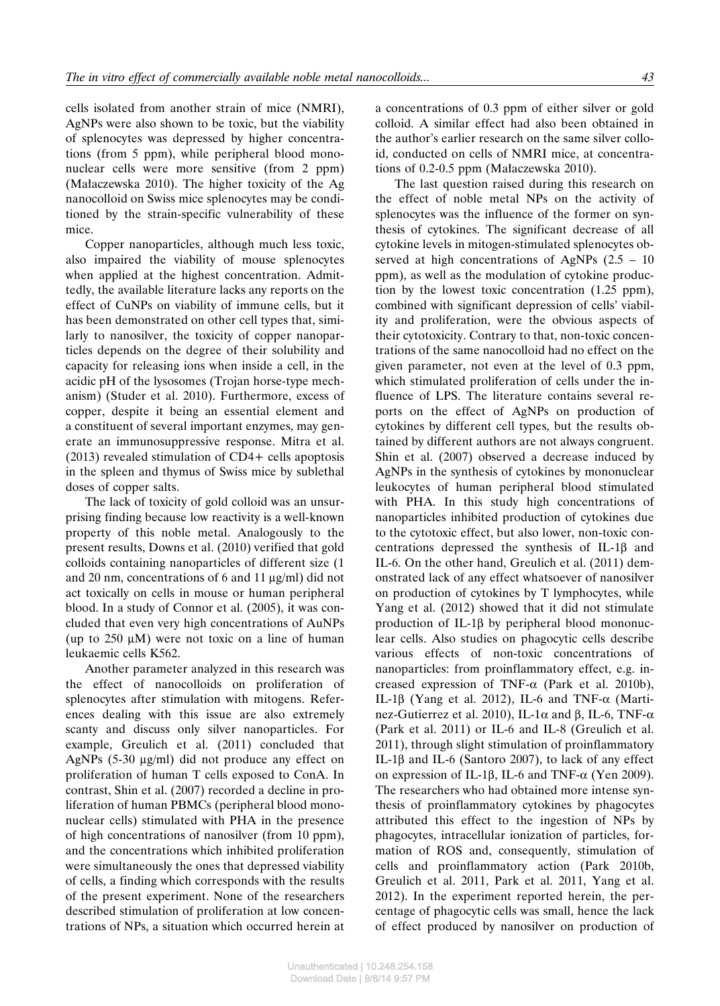cells isolated from another strain of mice (NMRI), AgNPs were also shown to be toxic, but the viability of splenocytes was depressed by higher concentrations (from 5 ppm), while peripheral blood mononuclear cells were more sensitive (from 2 ppm) (Małaczewska 2010). The higher toxicity of the Ag nanocolloid on Swiss mice splenocytes may be conditioned by the strain-specific vulnerability of these mice.

Copper nanoparticles, although much less toxic, also impaired the viability of mouse splenocytes when applied at the highest concentration. Admittedly, the available literature lacks any reports on the effect of CuNPs on viability of immune cells, but it has been demonstrated on other cell types that, similarly to nanosilver, the toxicity of copper nanoparticles depends on the degree of their solubility and capacity for releasing ions when inside a cell, in the acidic pH of the lysosomes (Trojan horse-type mechanism) (Studer et al. 2010). Furthermore, excess of copper, despite it being an essential element and a constituent of several important enzymes, may generate an immunosuppressive response. Mitra et al. (2013) revealed stimulation of CD4+ cells apoptosis in the spleen and thymus of Swiss mice by sublethal doses of copper salts.

The lack of toxicity of gold colloid was an unsurprising finding because low reactivity is a well-known property of this noble metal. Analogously to the present results, Downs et al. (2010) verified that gold colloids containing nanoparticles of different size (1 and 20 nm, concentrations of 6 and 11 μg/ml) did not act toxically on cells in mouse or human peripheral blood. In a study of Connor et al. (2005), it was concluded that even very high concentrations of AuNPs (up to  $250 \mu M$ ) were not toxic on a line of human leukaemic cells K562.

Another parameter analyzed in this research was the effect of nanocolloids on proliferation of splenocytes after stimulation with mitogens. References dealing with this issue are also extremely scanty and discuss only silver nanoparticles. For example, Greulich et al. (2011) concluded that AgNPs (5-30 μg/ml) did not produce any effect on proliferation of human T cells exposed to ConA. In contrast, Shin et al. (2007) recorded a decline in proliferation of human PBMCs (peripheral blood mononuclear cells) stimulated with PHA in the presence of high concentrations of nanosilver (from 10 ppm), and the concentrations which inhibited proliferation were simultaneously the ones that depressed viability of cells, a finding which corresponds with the results of the present experiment. None of the researchers described stimulation of proliferation at low concentrations of NPs, a situation which occurred herein at a concentrations of 0.3 ppm of either silver or gold colloid. A similar effect had also been obtained in the author's earlier research on the same silver colloid, conducted on cells of NMRI mice, at concentrations of 0.2-0.5 ppm (Małaczewska 2010).

The last question raised during this research on the effect of noble metal NPs on the activity of splenocytes was the influence of the former on synthesis of cytokines. The significant decrease of all cytokine levels in mitogen-stimulated splenocytes observed at high concentrations of AgNPs  $(2.5 - 10)$ ppm), as well as the modulation of cytokine production by the lowest toxic concentration (1.25 ppm), combined with significant depression of cells' viability and proliferation, were the obvious aspects of their cytotoxicity. Contrary to that, non-toxic concentrations of the same nanocolloid had no effect on the given parameter, not even at the level of 0.3 ppm, which stimulated proliferation of cells under the influence of LPS. The literature contains several reports on the effect of AgNPs on production of cytokines by different cell types, but the results obtained by different authors are not always congruent. Shin et al. (2007) observed a decrease induced by AgNPs in the synthesis of cytokines by mononuclear leukocytes of human peripheral blood stimulated with PHA. In this study high concentrations of nanoparticles inhibited production of cytokines due to the cytotoxic effect, but also lower, non-toxic concentrations depressed the synthesis of IL-1β and IL-6. On the other hand, Greulich et al. (2011) demonstrated lack of any effect whatsoever of nanosilver on production of cytokines by T lymphocytes, while Yang et al. (2012) showed that it did not stimulate production of IL-1β by peripheral blood mononuclear cells. Also studies on phagocytic cells describe various effects of non-toxic concentrations of nanoparticles: from proinflammatory effect, e.g. increased expression of TNF- $\alpha$  (Park et al. 2010b), IL-1β (Yang et al. 2012), IL-6 and TNF- $α$  (Martinez-Gutierrez et al. 2010), IL-1α and β, IL-6, TNF- $α$ (Park et al. 2011) or IL-6 and IL-8 (Greulich et al. 2011), through slight stimulation of proinflammatory IL-1β and IL-6 (Santoro 2007), to lack of any effect on expression of IL-1β, IL-6 and TNF-α (Yen 2009). The researchers who had obtained more intense synthesis of proinflammatory cytokines by phagocytes attributed this effect to the ingestion of NPs by phagocytes, intracellular ionization of particles, formation of ROS and, consequently, stimulation of cells and proinflammatory action (Park 2010b, Greulich et al. 2011, Park et al. 2011, Yang et al. 2012). In the experiment reported herein, the percentage of phagocytic cells was small, hence the lack of effect produced by nanosilver on production of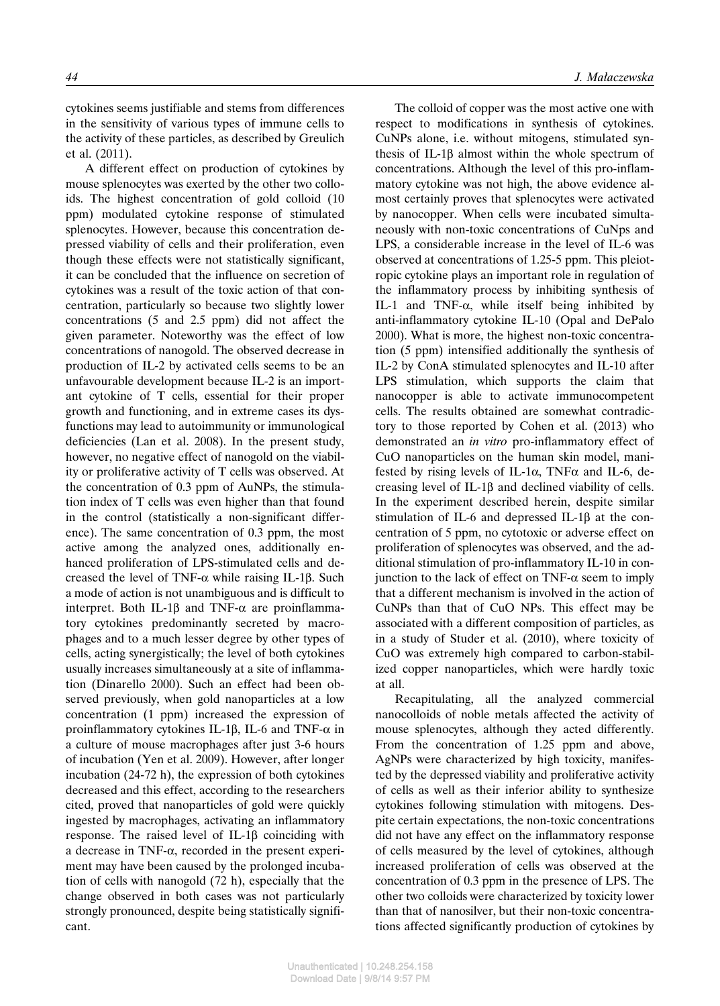cytokines seems justifiable and stems from differences in the sensitivity of various types of immune cells to the activity of these particles, as described by Greulich et al. (2011).

A different effect on production of cytokines by mouse splenocytes was exerted by the other two colloids. The highest concentration of gold colloid (10 ppm) modulated cytokine response of stimulated splenocytes. However, because this concentration depressed viability of cells and their proliferation, even though these effects were not statistically significant, it can be concluded that the influence on secretion of cytokines was a result of the toxic action of that concentration, particularly so because two slightly lower concentrations (5 and 2.5 ppm) did not affect the given parameter. Noteworthy was the effect of low concentrations of nanogold. The observed decrease in production of IL-2 by activated cells seems to be an unfavourable development because IL-2 is an important cytokine of T cells, essential for their proper growth and functioning, and in extreme cases its dysfunctions may lead to autoimmunity or immunological deficiencies (Lan et al. 2008). In the present study, however, no negative effect of nanogold on the viability or proliferative activity of T cells was observed. At the concentration of 0.3 ppm of AuNPs, the stimulation index of T cells was even higher than that found in the control (statistically a non-significant difference). The same concentration of 0.3 ppm, the most active among the analyzed ones, additionally enhanced proliferation of LPS-stimulated cells and decreased the level of TNF-α while raising IL-1β. Such a mode of action is not unambiguous and is difficult to interpret. Both IL-1β and TNF-α are proinflammatory cytokines predominantly secreted by macrophages and to a much lesser degree by other types of cells, acting synergistically; the level of both cytokines usually increases simultaneously at a site of inflammation (Dinarello 2000). Such an effect had been observed previously, when gold nanoparticles at a low concentration (1 ppm) increased the expression of proinflammatory cytokines IL-1β, IL-6 and TNF-α in a culture of mouse macrophages after just 3-6 hours of incubation (Yen et al. 2009). However, after longer incubation (24-72 h), the expression of both cytokines decreased and this effect, according to the researchers cited, proved that nanoparticles of gold were quickly ingested by macrophages, activating an inflammatory response. The raised level of IL-1β coinciding with a decrease in TNF-α, recorded in the present experiment may have been caused by the prolonged incubation of cells with nanogold (72 h), especially that the change observed in both cases was not particularly strongly pronounced, despite being statistically significant.

The colloid of copper was the most active one with respect to modifications in synthesis of cytokines. CuNPs alone, i.e. without mitogens, stimulated synthesis of IL-1β almost within the whole spectrum of concentrations. Although the level of this pro-inflammatory cytokine was not high, the above evidence almost certainly proves that splenocytes were activated by nanocopper. When cells were incubated simultaneously with non-toxic concentrations of CuNps and LPS, a considerable increase in the level of IL-6 was observed at concentrations of 1.25-5 ppm. This pleiotropic cytokine plays an important role in regulation of the inflammatory process by inhibiting synthesis of IL-1 and TNF- $\alpha$ , while itself being inhibited by anti-inflammatory cytokine IL-10 (Opal and DePalo 2000). What is more, the highest non-toxic concentration (5 ppm) intensified additionally the synthesis of IL-2 by ConA stimulated splenocytes and IL-10 after LPS stimulation, which supports the claim that nanocopper is able to activate immunocompetent cells. The results obtained are somewhat contradictory to those reported by Cohen et al. (2013) who demonstrated an *in vitro* pro-inflammatory effect of CuO nanoparticles on the human skin model, manifested by rising levels of IL-1 $\alpha$ , TNF $\alpha$  and IL-6, decreasing level of IL-1β and declined viability of cells. In the experiment described herein, despite similar stimulation of IL-6 and depressed IL-1β at the concentration of 5 ppm, no cytotoxic or adverse effect on proliferation of splenocytes was observed, and the additional stimulation of pro-inflammatory IL-10 in conjunction to the lack of effect on TNF- $\alpha$  seem to imply that a different mechanism is involved in the action of CuNPs than that of CuO NPs. This effect may be associated with a different composition of particles, as in a study of Studer et al. (2010), where toxicity of CuO was extremely high compared to carbon-stabilized copper nanoparticles, which were hardly toxic at all.

Recapitulating, all the analyzed commercial nanocolloids of noble metals affected the activity of mouse splenocytes, although they acted differently. From the concentration of 1.25 ppm and above, AgNPs were characterized by high toxicity, manifested by the depressed viability and proliferative activity of cells as well as their inferior ability to synthesize cytokines following stimulation with mitogens. Despite certain expectations, the non-toxic concentrations did not have any effect on the inflammatory response of cells measured by the level of cytokines, although increased proliferation of cells was observed at the concentration of 0.3 ppm in the presence of LPS. The other two colloids were characterized by toxicity lower than that of nanosilver, but their non-toxic concentrations affected significantly production of cytokines by